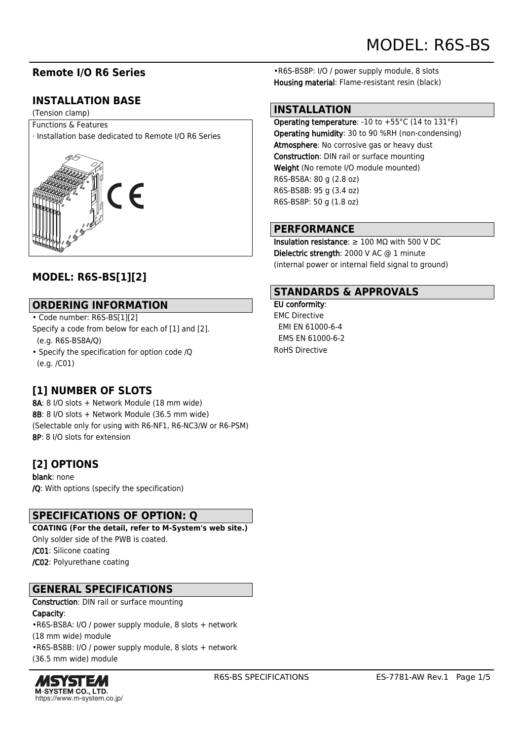## **Remote I/O R6 Series**

# **INSTALLATION BASE**

(Tension clamp)

Functions & Features · Installation base dedicated to Remote I/O R6 Series



# **MODEL: R6S-BS[1][2]**

#### **ORDERING INFORMATION**

• Code number: R6S-BS[1][2] Specify a code from below for each of [1] and [2]. (e.g. R6S-BS8A/Q)

• Specify the specification for option code /Q (e.g. /C01)

# **[1] NUMBER OF SLOTS**

8A: 8 I/O slots + Network Module (18 mm wide) 8B: 8 I/O slots + Network Module (36.5 mm wide) (Selectable only for using with R6-NF1, R6-NC3/W or R6-PSM) 8P: 8 I/O slots for extension

### **[2] OPTIONS**

blank: none /Q: With options (specify the specification)

#### **SPECIFICATIONS OF OPTION: Q**

**COATING (For the detail, refer to M-System's web site.)** Only solder side of the PWB is coated. /C01: Silicone coating /C02: Polyurethane coating

### **GENERAL SPECIFICATIONS**

Construction: DIN rail or surface mounting

#### Capacity:

•R6S-BS8A: I/O / power supply module, 8 slots + network (18 mm wide) module •R6S-BS8B: I/O / power supply module, 8 slots + network (36.5 mm wide) module



•R6S-BS8P: I/O / power supply module, 8 slots Housing material: Flame-resistant resin (black)

#### **INSTALLATION**

Operating temperature: -10 to +55°C (14 to 131°F) Operating humidity: 30 to 90 %RH (non-condensing) Atmosphere: No corrosive gas or heavy dust Construction: DIN rail or surface mounting Weight (No remote I/O module mounted) R6S-BS8A: 80 g (2.8 oz) R6S-BS8B: 95 g (3.4 oz) R6S-BS8P: 50 g (1.8 oz)

#### **PERFORMANCE**

Insulation resistance:  $\geq 100$  M $\Omega$  with 500 V DC Dielectric strength: 2000 V AC @ 1 minute (internal power or internal field signal to ground)

### **STANDARDS & APPROVALS**

EU conformity: EMC Directive EMI EN 61000-6-4 EMS EN 61000-6-2 RoHS Directive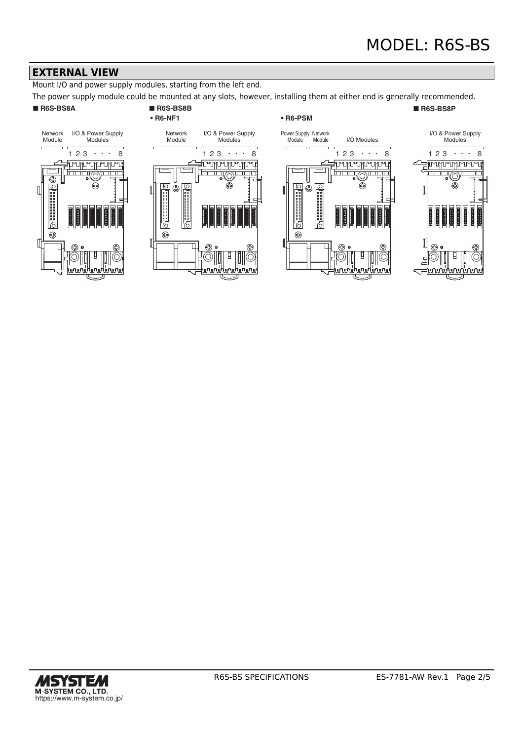#### **EXTERNAL VIEW**

Mount I/O and power supply modules, starting from the left end.

The power supply module could be mounted at any slots, however, installing them at either end is generally recommended.

#### ■ **R6S-BS8A** ■ **R6S-BS8B**

# **• R6-NF1**

#### **• R6-PSM**

#### ■ **R6S-BS8P**









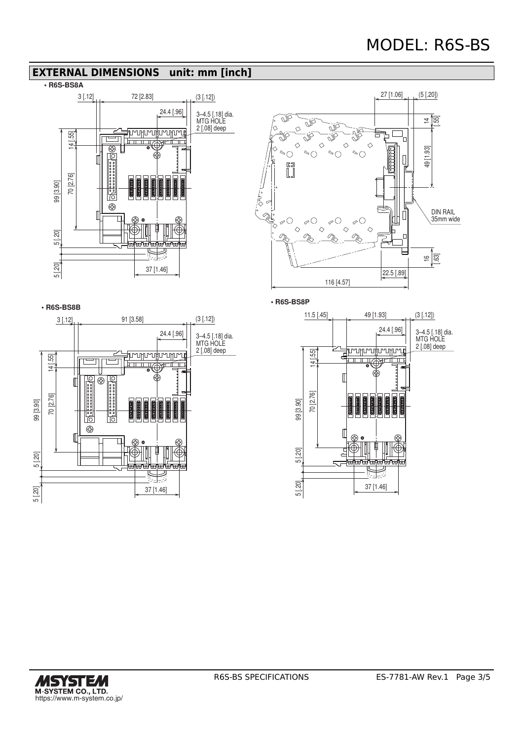#### **EXTERNAL DIMENSIONS unit: mm [inch]**







**• R6S-BS8B** 91 [3.58] 3 [.12] (3 [.12]) 24.4 [.96] 3–4.5 [.18] dia. MTG HOLE 2 [.08] deep <u> มหนามหน้าเกินเวิ</u> 14 [.55]╖ ਿੱπ  $\overline{\mathbf{u}}$ क्स्तातिπ  $^{\circledR}$  $\mathbb{I}$ 70 [2.76] 99 [3.90] **Defined** l'io ⊕ 5 [.20] F 5 [.20] 37 [1.46]

**• R6S-BS8P**



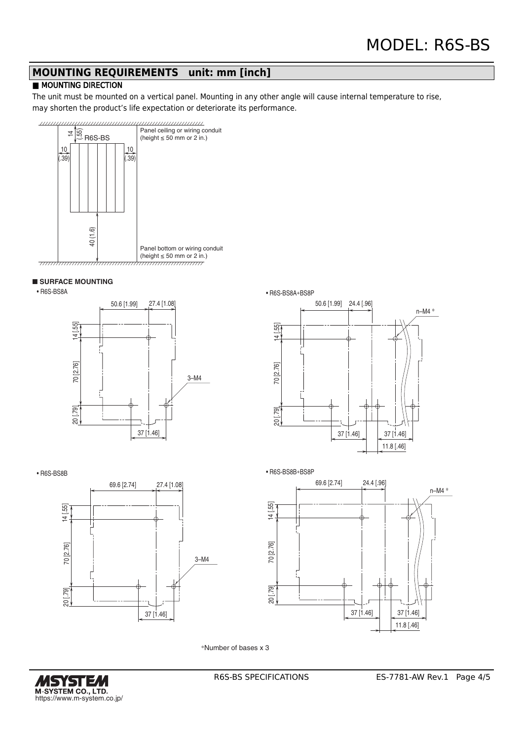# **MOUNTING REQUIREMENTS unit: mm [inch]**

#### **MOUNTING DIRECTION**

The unit must be mounted on a vertical panel. Mounting in any other angle will cause internal temperature to rise, may shorten the product's life expectation or deteriorate its performance.



#### ■ **SURFACE MOUNTING**







• R6S-BS8B





\*Number of bases x 3